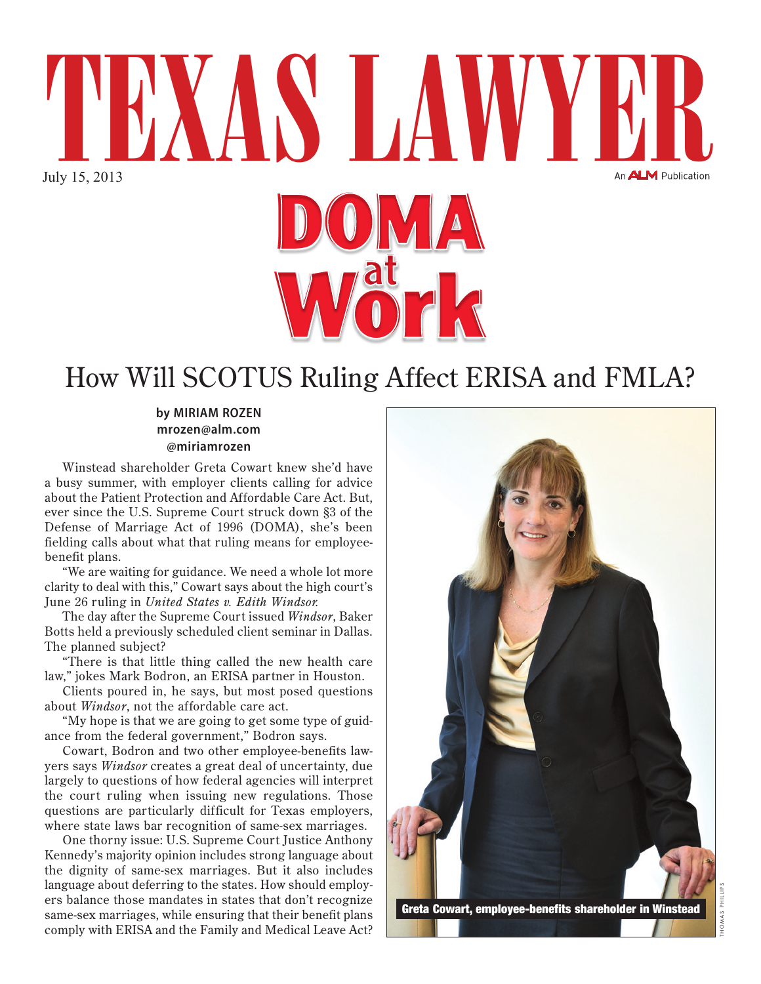

## How Will SCOTUS Ruling Affect ERISA and FMLA?

**by MIRIAM ROZEN mrozen@alm.com @miriamrozen**

Winstead shareholder Greta Cowart knew she'd have a busy summer, with employer clients calling for advice about the Patient Protection and Affordable Care Act. But, ever since the U.S. Supreme Court struck down §3 of the Defense of Marriage Act of 1996 (DOMA), she's been fielding calls about what that ruling means for employeebenefit plans.

"We are waiting for guidance. We need a whole lot more clarity to deal with this," Cowart says about the high court's June 26 ruling in *United States v. Edith Windsor.* 

The day after the Supreme Court issued *Windsor*, Baker Botts held a previously scheduled client seminar in Dallas. The planned subject?

"There is that little thing called the new health care law," jokes Mark Bodron, an ERISA partner in Houston.

Clients poured in, he says, but most posed questions about *Windsor*, not the affordable care act.

"My hope is that we are going to get some type of guidance from the federal government," Bodron says.

Cowart, Bodron and two other employee-benefits lawyers says *Windsor* creates a great deal of uncertainty, due largely to questions of how federal agencies will interpret the court ruling when issuing new regulations. Those questions are particularly difficult for Texas employers, where state laws bar recognition of same-sex marriages.

One thorny issue: U.S. Supreme Court Justice Anthony Kennedy's majority opinion includes strong language about the dignity of same-sex marriages. But it also includes language about deferring to the states. How should employers balance those mandates in states that don't recognize same-sex marriages, while ensuring that their benefit plans comply with ERISA and the Family and Medical Leave Act?